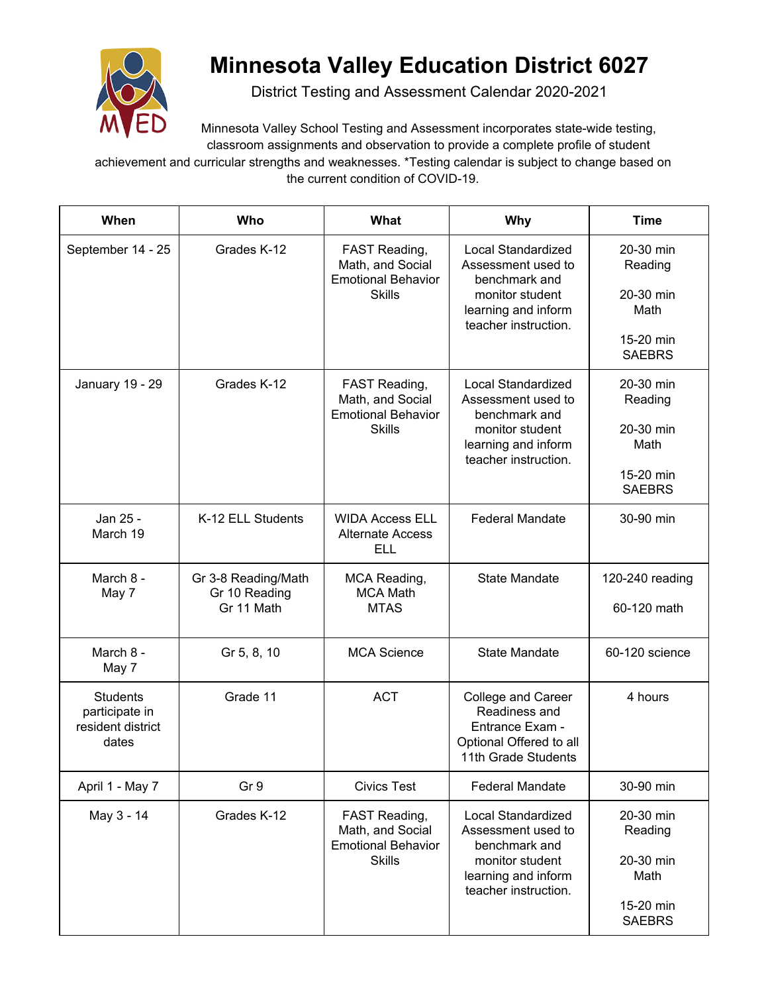

## **Minnesota Valley Education District 6027**

District Testing and Assessment Calendar 2020-2021

Minnesota Valley School Testing and Assessment incorporates state-wide testing, classroom assignments and observation to provide a complete profile of student

achievement and curricular strengths and weaknesses. \*Testing calendar is subject to change based on the current condition of COVID-19.

| When                                                            | Who                                                | What                                                                            | <b>Why</b>                                                                                                                  | <b>Time</b>                                                             |
|-----------------------------------------------------------------|----------------------------------------------------|---------------------------------------------------------------------------------|-----------------------------------------------------------------------------------------------------------------------------|-------------------------------------------------------------------------|
| September 14 - 25                                               | Grades K-12                                        | FAST Reading,<br>Math, and Social<br><b>Emotional Behavior</b><br><b>Skills</b> | Local Standardized<br>Assessment used to<br>benchmark and<br>monitor student<br>learning and inform<br>teacher instruction. | 20-30 min<br>Reading<br>20-30 min<br>Math                               |
|                                                                 |                                                    |                                                                                 |                                                                                                                             | 15-20 min<br><b>SAEBRS</b>                                              |
| January 19 - 29                                                 | Grades K-12                                        | FAST Reading,<br>Math, and Social<br><b>Emotional Behavior</b><br><b>Skills</b> | Local Standardized<br>Assessment used to<br>benchmark and<br>monitor student<br>learning and inform<br>teacher instruction. | 20-30 min<br>Reading                                                    |
|                                                                 |                                                    |                                                                                 |                                                                                                                             | 20-30 min<br>Math                                                       |
|                                                                 |                                                    |                                                                                 |                                                                                                                             | 15-20 min<br><b>SAEBRS</b>                                              |
| Jan 25 -<br>March 19                                            | K-12 ELL Students                                  | <b>WIDA Access ELL</b><br><b>Alternate Access</b><br><b>ELL</b>                 | <b>Federal Mandate</b>                                                                                                      | 30-90 min                                                               |
| March 8 -<br>May 7                                              | Gr 3-8 Reading/Math<br>Gr 10 Reading<br>Gr 11 Math | MCA Reading,<br><b>MCA Math</b><br><b>MTAS</b>                                  | <b>State Mandate</b>                                                                                                        | 120-240 reading<br>60-120 math                                          |
| March 8 -<br>May 7                                              | Gr 5, 8, 10                                        | <b>MCA Science</b>                                                              | <b>State Mandate</b>                                                                                                        | 60-120 science                                                          |
| <b>Students</b><br>participate in<br>resident district<br>dates | Grade 11                                           | <b>ACT</b>                                                                      | College and Career<br>Readiness and<br>Entrance Exam -<br>Optional Offered to all<br>11th Grade Students                    | 4 hours                                                                 |
| April 1 - May 7                                                 | Gr 9                                               | <b>Civics Test</b>                                                              | <b>Federal Mandate</b>                                                                                                      | 30-90 min                                                               |
| May 3 - 14                                                      | Grades K-12                                        | FAST Reading,<br>Math, and Social<br><b>Emotional Behavior</b><br><b>Skills</b> | Local Standardized<br>Assessment used to<br>benchmark and<br>monitor student<br>learning and inform<br>teacher instruction. | 20-30 min<br>Reading<br>20-30 min<br>Math<br>15-20 min<br><b>SAEBRS</b> |